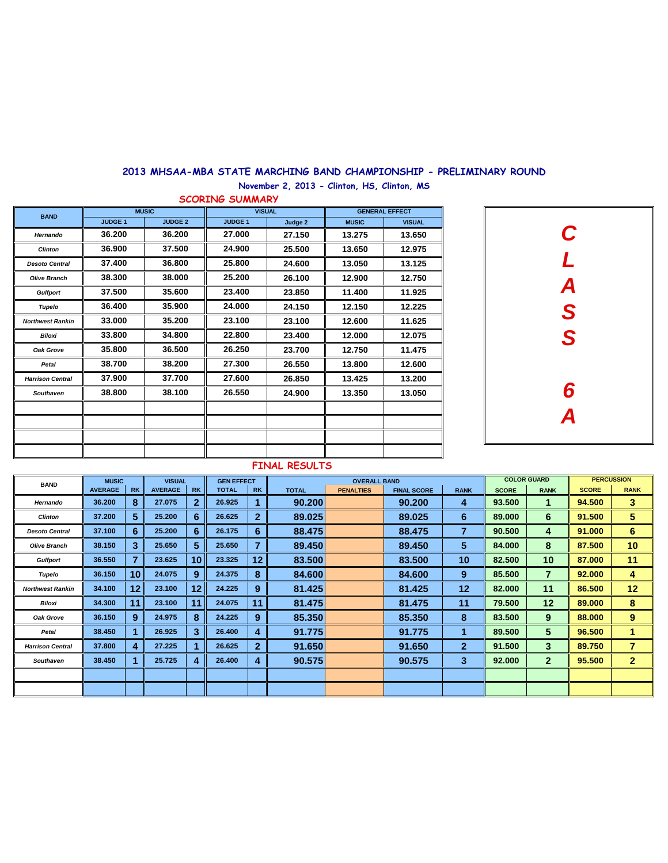## **2013 MHSAA-MBA STATE MARCHING BAND CHAMPIONSHIP - PRELIMINARY ROUND**

**November 2, 2013 - Clinton, HS, Clinton, MS**

| <b>BAND</b>             |                | <b>MUSIC</b>   |                | <b>VISUAL</b> | <b>GENERAL EFFECT</b> |               |  |  |  |
|-------------------------|----------------|----------------|----------------|---------------|-----------------------|---------------|--|--|--|
|                         | <b>JUDGE 1</b> | <b>JUDGE 2</b> | <b>JUDGE 1</b> | Judge 2       | <b>MUSIC</b>          | <b>VISUAL</b> |  |  |  |
| Hernando                | 36.200         | 36.200         | 27.000         | 27.150        | 13.275                | 13.650        |  |  |  |
| <b>Clinton</b>          | 36.900         | 37.500         | 24.900         | 25.500        | 13.650                | 12.975        |  |  |  |
| <b>Desoto Central</b>   | 37.400         | 36.800         | 25.800         | 24.600        | 13.050                | 13.125        |  |  |  |
| <b>Olive Branch</b>     | 38.300         | 38.000         | 25.200         | 26.100        | 12.900                | 12.750        |  |  |  |
| <b>Gulfport</b>         | 37.500         | 35.600         | 23.400         | 23.850        | 11.400                | 11.925        |  |  |  |
| Tupelo                  | 36.400         | 35.900         | 24.000         | 24.150        | 12.150                | 12.225        |  |  |  |
| <b>Northwest Rankin</b> | 33.000         | 35.200         | 23.100         | 23.100        | 12.600                | 11.625        |  |  |  |
| <b>Biloxi</b>           | 33.800         | 34.800         | 22.800         | 23.400        | 12.000                | 12.075        |  |  |  |
| Oak Grove               | 35.800         | 36.500         | 26.250         | 23.700        | 12.750                | 11.475        |  |  |  |
| Petal                   | 38.700         | 38.200         | 27.300         | 26.550        | 13.800                | 12.600        |  |  |  |
| <b>Harrison Central</b> | 37.900         | 37.700         | 27.600         | 26.850        | 13.425                | 13.200        |  |  |  |
| Southaven               | 38.800         | 38.100         | 26.550         | 24.900        | 13.350                | 13.050        |  |  |  |
|                         |                |                |                |               |                       |               |  |  |  |
|                         |                |                |                |               |                       |               |  |  |  |



## **FINAL RESULTS**

| <b>BAND</b>             | <b>MUSIC</b>   |           | <b>VISUAL</b>  |              | <b>GEN EFFECT</b> |              |              | <b>OVERALL BAND</b> |                    |              |              | <b>COLOR GUARD</b> |              | <b>PERCUSSION</b> |
|-------------------------|----------------|-----------|----------------|--------------|-------------------|--------------|--------------|---------------------|--------------------|--------------|--------------|--------------------|--------------|-------------------|
|                         | <b>AVERAGE</b> | <b>RK</b> | <b>AVERAGE</b> | <b>RK</b>    | <b>TOTAL</b>      | <b>RK</b>    | <b>TOTAL</b> | <b>PENALTIES</b>    | <b>FINAL SCORE</b> | <b>RANK</b>  | <b>SCORE</b> | <b>RANK</b>        | <b>SCORE</b> | <b>RANK</b>       |
| Hernando                | 36.200         | 8         | 27.075         | $\mathbf{2}$ | 26.925            |              | 90.200       |                     | 90.200             | 4            | 93.500       |                    | 94.500       | 3                 |
| <b>Clinton</b>          | 37.200         | 5         | 25.200         | 6            | 26.625            | $\mathbf{2}$ | 89.025       |                     | 89.025             | 6            | 89.000       | 6                  | 91.500       | 5                 |
| <b>Desoto Central</b>   | 37.100         | 6         | 25.200         | 6            | 26.175            | 6            | 88.475       |                     | 88.475             | 7            | 90.500       | 4                  | 91.000       | 6                 |
| <b>Olive Branch</b>     | 38.150         | 3         | 25.650         | 5            | 25.650            |              | 89.450       |                     | 89,450             | 5            | 84.000       | 8                  | 87.500       | 10                |
| <b>Gulfport</b>         | 36.550         | 7         | 23.625         | 10           | 23.325            | 12           | 83.500       |                     | 83,500             | 10           | 82.500       | 10                 | 87.000       | 11                |
| Tupelo                  | 36.150         | 10        | 24.075         | 9            | 24.375            | 8            | 84.600       |                     | 84,600             | 9            | 85.500       | 7                  | 92.000       | 4                 |
| <b>Northwest Rankin</b> | 34.100         | $12 \,$   | 23.100         | 12           | 24.225            | 9            | 81.425       |                     | 81.425             | 12           | 82.000       | 11                 | 86.500       | 12                |
| Biloxi                  | 34.300         | 11        | 23.100         | 11           | 24.075            | 11           | 81.475       |                     | 81.475             | 11           | 79.500       | $12 \overline{ }$  | 89,000       | 8                 |
| Oak Grove               | 36.150         | 9         | 24.975         | 8            | 24.225            | 9            | 85.350       |                     | 85,350             | 8            | 83.500       | 9                  | 88.000       | 9                 |
| Petal                   | 38.450         |           | 26.925         | 3            | 26.400            | 4            | 91.775       |                     | 91.775             |              | 89,500       | 5                  | 96,500       |                   |
| <b>Harrison Central</b> | 37.800         | 4         | 27.225         |              | 26.625            | $\mathbf{2}$ | 91.650       |                     | 91.650             | $\mathbf{2}$ | 91.500       | 3                  | 89.750       | 7                 |
| <b>Southaven</b>        | 38.450         |           | 25.725         | 4            | 26.400            | 4            | 90.575       |                     | 90.575             | 3            | 92.000       | $\overline{2}$     | 95.500       | $\overline{2}$    |
|                         |                |           |                |              |                   |              |              |                     |                    |              |              |                    |              |                   |
|                         |                |           |                |              |                   |              |              |                     |                    |              |              |                    |              |                   |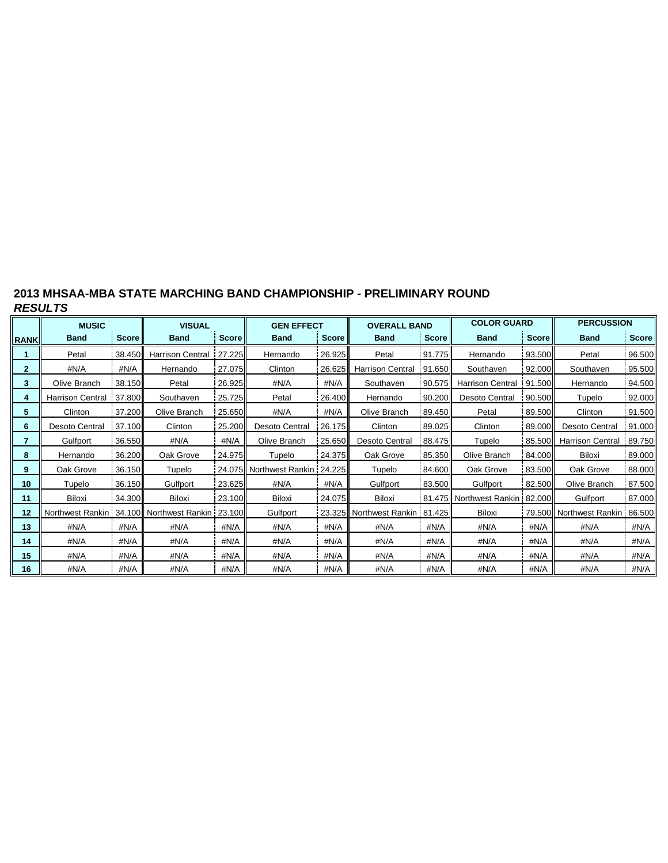## **2013 MHSAA-MBA STATE MARCHING BAND CHAMPIONSHIP - PRELIMINARY ROUND** *RESULTS*

|              | <b>MUSIC</b>            |              | <b>VISUAL</b>                                   |              | <b>GEN EFFECT</b>       |              | <b>OVERALL BAND</b>              |              | <b>COLOR GUARD</b>       |              | <b>PERCUSSION</b>              |        |  |
|--------------|-------------------------|--------------|-------------------------------------------------|--------------|-------------------------|--------------|----------------------------------|--------------|--------------------------|--------------|--------------------------------|--------|--|
| <b>RANK</b>  | <b>Band</b>             | <b>Score</b> | <b>Band</b>                                     | <b>Score</b> | <b>Band</b>             | <b>Score</b> | <b>Band</b>                      | <b>Score</b> | <b>Band</b>              | <b>Score</b> | <b>Band</b>                    | Score  |  |
|              | Petal                   | 38.450       | Harrison Central 27.225                         |              | Hernando                | 26.925       | Petal                            | 91.775       | Hernando                 | 93.500       | Petal                          | 96.500 |  |
| $\mathbf{2}$ | #N/A                    | #N/A         | Hernando                                        | 27.075       | Clinton                 | 26.625       | <b>Harrison Central</b>          | 91.650       | 92.000<br>Southaven      |              | Southaven                      | 95.500 |  |
| 3            | Olive Branch            | 38.150       | Petal                                           | 26.925       | #N/A                    | #N/A         | Southaven                        | 90.575       | <b>Harrison Central</b>  | 91.500       | Hernando                       | 94.500 |  |
| 4            | <b>Harrison Central</b> | 37.800       | Southaven                                       | 25.725       | Petal                   | 26.400       | Hernando                         |              | 90.200<br>Desoto Central | 90.500       | Tupelo                         | 92.000 |  |
| 5            | Clinton                 | 37.200       | Olive Branch                                    | 25.650       | #N/A                    | #N/A         | Olive Branch                     | 89.450       | Petal                    | 89.500       | Clinton                        | 91.500 |  |
| 6            | Desoto Central          | 37.100       | Clinton                                         | 25.200       | <b>Desoto Central</b>   | 26.175       | Clinton                          | 89.025       | Clinton                  | 89.000       | <b>Desoto Central</b>          | 91.000 |  |
| 7            | Gulfport                | 36.550       | #N/A                                            | #N/A         | Olive Branch            | 25.650       | <b>Desoto Central</b>            |              | 88.475<br>Tupelo         | 85.500       | <b>Harrison Central</b>        | 89.750 |  |
| 8            | Hernando                | 36.200       | Oak Grove                                       | 24.975       | Tupelo                  | 24.375       | Oak Grove                        | 85.350       | Olive Branch             | 84.000       | Biloxi                         | 89.000 |  |
| 9            | Oak Grove               | 36.150       | Tupelo                                          | 24.075II     | Northwest Rankin 24.225 |              | Tupelo                           | 84.600       | Oak Grove                | 83.500       | Oak Grove                      | 88.000 |  |
| 10           | Tupelo                  | 36.150       | Gulfport                                        | 23.625       | #N/A                    | #N/A         | Gulfport<br>83.500               |              | Gulfport                 | 82.500       | Olive Branch                   | 87.500 |  |
| 11           | Biloxi                  | 34.300       | Biloxi                                          | 23.100       | Biloxi                  | 24.075       | Biloxi                           |              | 81.475 Northwest Rankin  | 82.000       | Gulfport                       | 87.000 |  |
| 12           |                         |              | Northwest Rankin 34.100 Northwest Rankin 23.100 |              | Gulfport                |              | 23.325 Northwest Rankin   81.425 |              | Biloxi                   |              | 79.500 Northwest Rankin 86.500 |        |  |
| 13           | #N/A                    | #N/A         | #N/A                                            | #N/A         | #N/A                    | #N/A         | #N/A                             | #N/A         | #N/A                     | #N/A         | #N/A                           | #N/A   |  |
| 14           | #N/A                    | #N/A         | #N/A                                            | #N/A         | #N/A                    | #N/A         | #N/A                             | #N/A         | #N/A                     | #N/A         | #N/A                           | #N/A   |  |
| 15           | #N/A                    | #N/A         | #N/A                                            | #N/A         | #N/A                    | #N/A         | #N/A                             | #N/A         | #N/A                     | #N/A         | #N/A                           | #N/A   |  |
| 16           | #N/A                    | #N/A         | #N/A                                            | #N/A         | #N/A                    | #N/A         | #N/A                             | #N/A         | #N/A                     | #N/A         | #N/A                           | #N/A   |  |